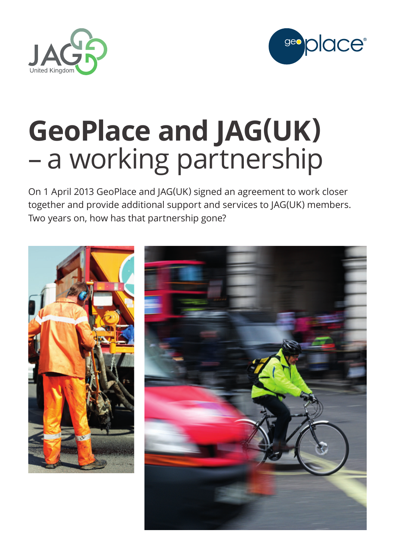



# **GeoPlace and JAG(UK)** – a working partnership

On 1 April 2013 GeoPlace and JAG(UK) signed an agreement to work closer together and provide additional support and services to JAG(UK) members. Two years on, how has that partnership gone?

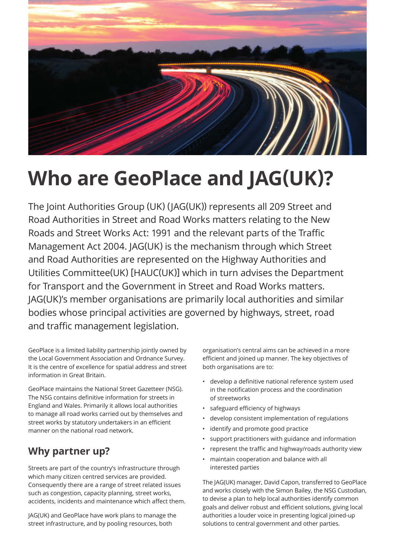

# **Who are GeoPlace and JAG(UK)?**

The Joint Authorities Group (UK) (JAG(UK)) represents all 209 Street and Road Authorities in Street and Road Works matters relating to the New Roads and Street Works Act: 1991 and the relevant parts of the Traffic Management Act 2004. JAG(UK) is the mechanism through which Street and Road Authorities are represented on the Highway Authorities and Utilities Committee(UK) [HAUC(UK)] which in turn advises the Department for Transport and the Government in Street and Road Works matters. JAG(UK)'s member organisations are primarily local authorities and similar bodies whose principal activities are governed by highways, street, road and traffic management legislation.

GeoPlace is a limited liability partnership jointly owned by the Local Government Association and Ordnance Survey. It is the centre of excellence for spatial address and street information in Great Britain.

GeoPlace maintains the National Street Gazetteer (NSG). The NSG contains definitive information for streets in England and Wales. Primarily it allows local authorities to manage all road works carried out by themselves and street works by statutory undertakers in an efficient manner on the national road network.

# **Why partner up?**

Streets are part of the country's infrastructure through which many citizen centred services are provided. Consequently there are a range of street related issues such as congestion, capacity planning, street works, accidents, incidents and maintenance which affect them.

JAG(UK) and GeoPlace have work plans to manage the street infrastructure, and by pooling resources, both

organisation's central aims can be achieved in a more efficient and joined up manner. The key objectives of both organisations are to:

- develop a definitive national reference system used in the notification process and the coordination of streetworks
- safeguard efficiency of highways
- develop consistent implementation of regulations
- identify and promote good practice
- support practitioners with guidance and information
- represent the traffic and highway/roads authority view
- maintain cooperation and balance with all interested parties

The JAG(UK) manager, David Capon, transferred to GeoPlace and works closely with the Simon Bailey, the NSG Custodian, to devise a plan to help local authorities identify common goals and deliver robust and efficient solutions, giving local authorities a louder voice in presenting logical joined-up solutions to central government and other parties.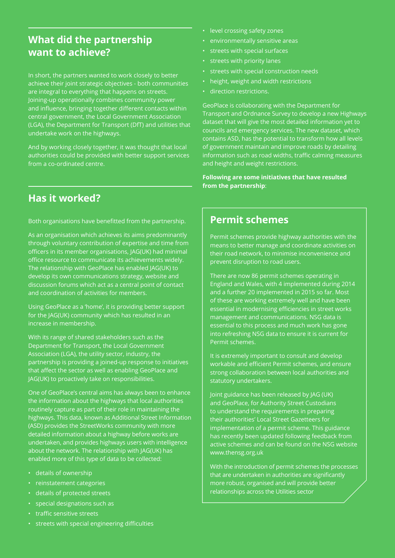## **What did the partnership want to achieve?**

In short, the partners wanted to work closely to better achieve their joint strategic objectives - both communities are integral to everything that happens on streets. Joining-up operationally combines community power and influence, bringing together different contacts within central government, the Local Government Association (LGA), the Department for Transport (DfT) and utilities that undertake work on the highways.

And by working closely together, it was thought that local authorities could be provided with better support services from a co-ordinated centre.

**Has it worked?**

Both organisations have benefitted from the partnership.

#### As an organisation which achieves its aims predominantly through voluntary contribution of expertise and time from officers in its member organisations, JAG(UK) had minimal office resource to communicate its achievements widely. The relationship with GeoPlace has enabled JAG(UK) to develop its own communications strategy, website and discussion forums which act as a central point of contact and coordination of activities for members.

Using GeoPlace as a 'home', it is providing better support for the JAG(UK) community which has resulted in an increase in membership.

With its range of shared stakeholders such as the Department for Transport, the Local Government Association (LGA), the utility sector, industry, the partnership is providing a joined-up response to initiatives that affect the sector as well as enabling GeoPlace and JAG(UK) to proactively take on responsibilities.

One of GeoPlace's central aims has always been to enhance the information about the highways that local authorities routinely capture as part of their role in maintaining the highways. This data, known as Additional Street Information (ASD) provides the StreetWorks community with more detailed information about a highway before works are undertaken, and provides highways users with intelligence about the network. The relationship with JAG(UK) has enabled more of this type of data to be collected:

- details of ownership
- reinstatement categories
- details of protected streets
- special designations such as
- traffic sensitive streets
- streets with special engineering difficulties
- level crossing safety zones
- environmentally sensitive areas
- streets with special surfaces
- streets with priority lanes
- streets with special construction needs
- height, weight and width restrictions
- direction restrictions.

GeoPlace is collaborating with the Department for Transport and Ordnance Survey to develop a new Highways dataset that will give the most detailed information yet to councils and emergency services. The new dataset, which contains ASD, has the potential to transform how all levels of government maintain and improve roads by detailing information such as road widths, traffic calming measures and height and weight restrictions.

**Following are some initiatives that have resulted from the partnership**:

### **Permit schemes**

Permit schemes provide highway authorities with the means to better manage and coordinate activities on their road network, to minimise inconvenience and prevent disruption to road users.

There are now 86 permit schemes operating in England and Wales, with 4 implemented during 2014 and a further 20 implemented in 2015 so far. Most of these are working extremely well and have been essential in modernising efficiencies in street works management and communications. NSG data is essential to this process and much work has gone into refreshing NSG data to ensure it is current for Permit schemes.

It is extremely important to consult and develop workable and efficient Permit schemes, and ensure strong collaboration between local authorities and statutory undertakers.

Joint guidance has been released by JAG (UK) and GeoPlace, for Authority Street Custodians to understand the requirements in preparing their authorities' Local Street Gazetteers for implementation of a permit scheme. This guidance has recently been updated following feedback from active schemes and can be found on the NSG website www.thensg.org.uk

With the introduction of permit schemes the processes that are undertaken in authorities are significantly more robust, organised and will provide better relationships across the Utilities sector